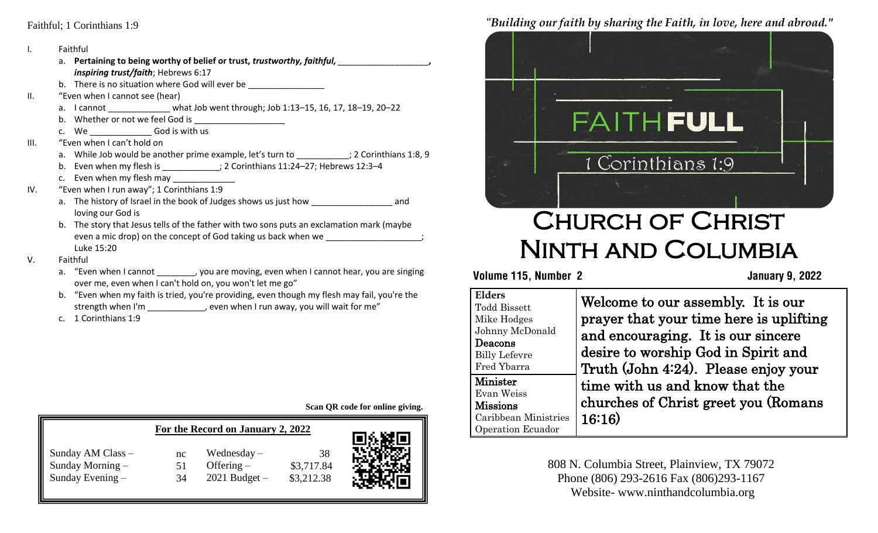#### Faithful; 1 Corinthians 1:9

- I. Faithful
- b. There is no situation where God will ever be  $\frac{1}{\sqrt{1-\frac{1}{n}}}\left\vert \frac{1}{n}\right\rangle$ II. "Even when I cannot see (hear) a. I cannot \_\_\_\_\_\_\_\_\_\_\_\_\_\_ what Job went through; Job 1:13-15, 16, 17, 18-19, 20-22 a. **Pertaining to being worthy of belief or trust,** *trustworthy, faithful, \_\_\_\_\_\_\_\_\_\_\_\_\_\_\_\_\_\_\_, inspiring trust/faith*; Hebrews 6:17 b. Whether or not we feel God is c. We \_\_\_\_\_\_\_\_\_\_\_\_\_\_\_\_God is with us III. "Even when I can't hold on a. While Job would be another prime example, let's turn to  $\qquad \qquad ; 2$  Corinthians 1:8, 9 b. Even when my flesh is \_\_\_\_\_\_\_\_\_\_\_\_; 2 Corinthians 11:24-27; Hebrews 12:3-4 c. Even when my flesh may IV. "Even when I run away"; 1 Corinthians 1:9 a. The history of Israel in the book of Judges shows us just how end and loving our God is
	- b. The story that Jesus tells of the father with two sons puts an exclamation mark (maybe even a mic drop) on the concept of God taking us back when we Luke 15:20
- V. Faithful
	- a. "Even when I cannot , you are moving, even when I cannot hear, you are singing over me, even when I can't hold on, you won't let me go"
	- b. "Even when my faith is tried, you're providing, even though my flesh may fail, you're the strength when I'm \_\_\_\_\_\_\_\_\_\_\_, even when I run away, you will wait for me"
	- c. 1 Corinthians 1:9

**Scan QR code for online giving.**

|                    |    | For the Record on January 2, 2022 |            | ◎图3篇回: |
|--------------------|----|-----------------------------------|------------|--------|
| Sunday AM Class -  | nc | Wednesday $-$                     | 38         |        |
| Sunday Morning $-$ | 51 | Offering $-$                      | \$3,717.84 |        |
| Sunday Evening $-$ | 34 | $2021$ Budget $-$                 | \$3,212.38 |        |

"*Building our faith by sharing the Faith, in love, here and abroad."*



## Church of Christ Ninth and Columbia

#### **Volume 115, Number 2 January 9, 2022**

| <b>Elders</b><br><b>Todd Bissett</b><br>Mike Hodges<br>Johnny McDonald<br>Deacons<br><b>Billy Lefevre</b><br>Fred Ybarra | Welcome to our assembly. It is our<br>prayer that your time here is uplifting<br>and encouraging. It is our sincere<br>desire to worship God in Spirit and |
|--------------------------------------------------------------------------------------------------------------------------|------------------------------------------------------------------------------------------------------------------------------------------------------------|
| <b>Minister</b><br>Evan Weiss<br><b>Missions</b><br>Caribbean Ministries<br>Operation Ecuador                            | Truth (John 4:24). Please enjoy your<br>time with us and know that the<br>churches of Christ greet you (Romans<br>16:16                                    |

808 N. Columbia Street, Plainview, TX 79072 Phone (806) 293-2616 Fax (806)293-1167 Website- www.ninthandcolumbia.org